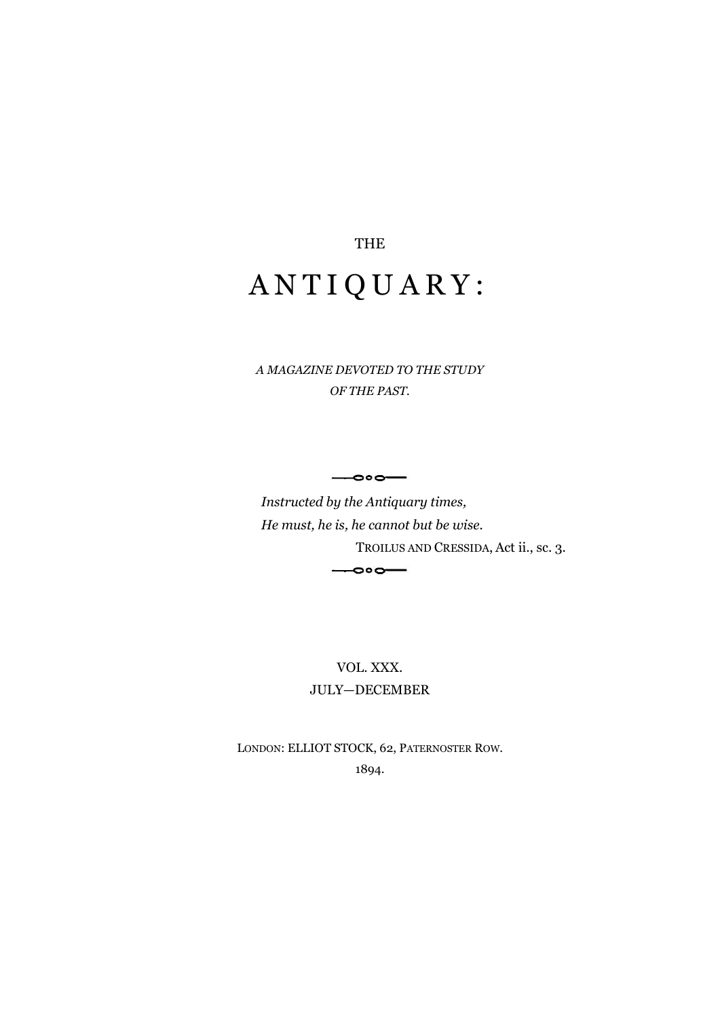## THE A N T I Q U A R Y :

*A MAGAZINE DEVOTED TO THE STUDY OF THE PAST.*

 $\overline{\phantom{0}}$ 

*Instructed by the Antiquary times, He must, he is, he cannot but be wise.* TROILUS AND CRESSIDA, Act ii., sc. 3.  $\overline{\phantom{0}}$ **.** 

> VOL. XXX. JULY—DECEMBER

LONDON: ELLIOT STOCK, 62, PATERNOSTER ROW. 1894.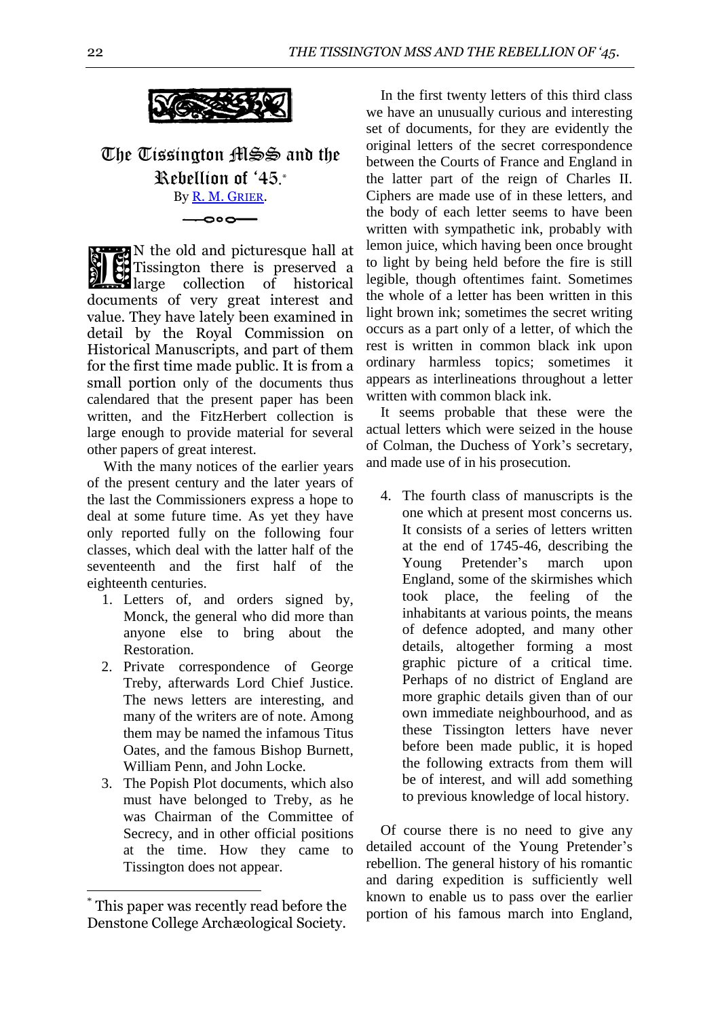

The Tissington MSS and the Rebellion of '45. \* By [R. M. G](http://books.google.com/books?id=8sexckEMeycC&lpg=PA25&ots=xYkHZa_tRM&dq=%22Manchester%20Magazine%22%201745&pg=PA22#v=onepage&q=%22Manchester%20Magazine%22%201745&f=false)RIER.

 $\overline{\bullet}$ 

N the old and picturesque hall at Tissington there is preserved a **Reference to the collection** of historical and preserved a large collection of historical documents of very great interest and value. They have lately been examined in detail by the Royal Commission on Historical Manuscripts, and part of them for the first time made public. It is from a small portion only of the documents thus calendared that the present paper has been written, and the FitzHerbert collection is large enough to provide material for several other papers of great interest.

With the many notices of the earlier years of the present century and the later years of the last the Commissioners express a hope to deal at some future time. As yet they have only reported fully on the following four classes, which deal with the latter half of the seventeenth and the first half of the eighteenth centuries.

- 1. Letters of, and orders signed by, Monck, the general who did more than anyone else to bring about the Restoration.
- 2. Private correspondence of George Treby, afterwards Lord Chief Justice. The news letters are interesting, and many of the writers are of note. Among them may be named the infamous Titus Oates, and the famous Bishop Burnett, William Penn, and John Locke.
- 3. The Popish Plot documents, which also must have belonged to Treby, as he was Chairman of the Committee of Secrecy, and in other official positions at the time. How they came to Tissington does not appear.

<u>.</u>

In the first twenty letters of this third class we have an unusually curious and interesting set of documents, for they are evidently the original letters of the secret correspondence between the Courts of France and England in the latter part of the reign of Charles II. Ciphers are made use of in these letters, and the body of each letter seems to have been written with sympathetic ink, probably with lemon juice, which having been once brought to light by being held before the fire is still legible, though oftentimes faint. Sometimes the whole of a letter has been written in this light brown ink; sometimes the secret writing occurs as a part only of a letter, of which the rest is written in common black ink upon ordinary harmless topics; sometimes it appears as interlineations throughout a letter written with common black ink.

It seems probable that these were the actual letters which were seized in the house of Colman, the Duchess of York's secretary, and made use of in his prosecution.

4. The fourth class of manuscripts is the one which at present most concerns us. It consists of a series of letters written at the end of 1745-46, describing the Young Pretender's march upon England, some of the skirmishes which took place, the feeling of the inhabitants at various points, the means of defence adopted, and many other details, altogether forming a most graphic picture of a critical time. Perhaps of no district of England are more graphic details given than of our own immediate neighbourhood, and as these Tissington letters have never before been made public, it is hoped the following extracts from them will be of interest, and will add something to previous knowledge of local history.

Of course there is no need to give any detailed account of the Young Pretender's rebellion. The general history of his romantic and daring expedition is sufficiently well known to enable us to pass over the earlier portion of his famous march into England,

This paper was recently read before the Denstone College Archæological Society.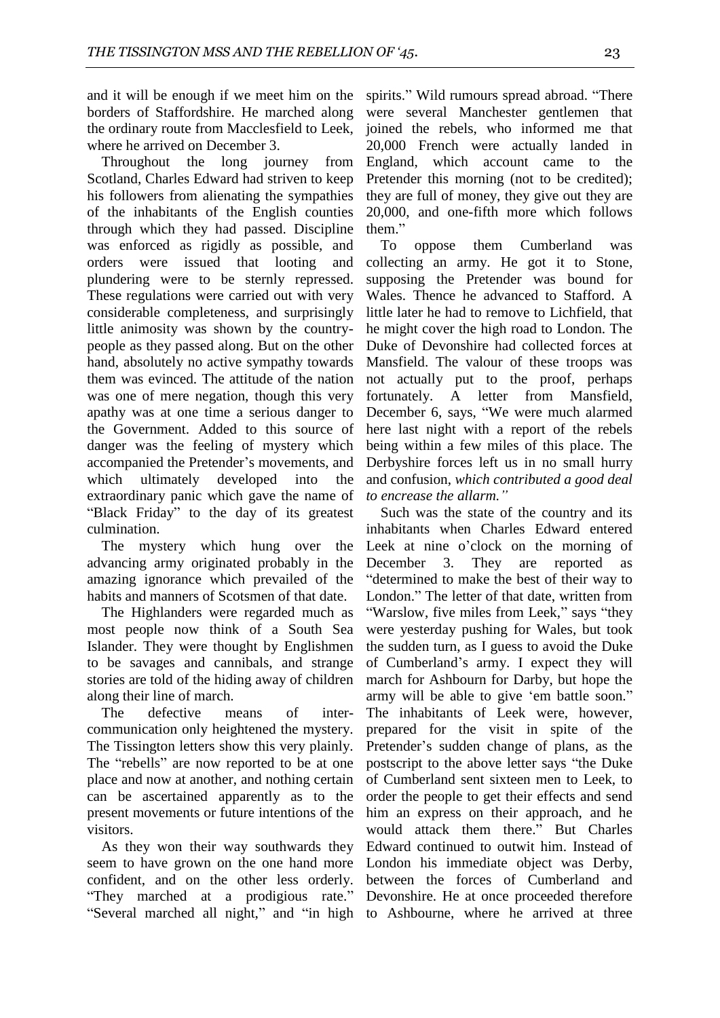and it will be enough if we meet him on the borders of Staffordshire. He marched along the ordinary route from Macclesfield to Leek, where he arrived on December 3.

Throughout the long journey from Scotland, Charles Edward had striven to keep his followers from alienating the sympathies of the inhabitants of the English counties through which they had passed. Discipline was enforced as rigidly as possible, and orders were issued that looting and plundering were to be sternly repressed. These regulations were carried out with very considerable completeness, and surprisingly little animosity was shown by the countrypeople as they passed along. But on the other hand, absolutely no active sympathy towards them was evinced. The attitude of the nation was one of mere negation, though this very apathy was at one time a serious danger to the Government. Added to this source of danger was the feeling of mystery which accompanied the Pretender's movements, and which ultimately developed into the extraordinary panic which gave the name of "Black Friday" to the day of its greatest culmination.

The mystery which hung over the advancing army originated probably in the amazing ignorance which prevailed of the habits and manners of Scotsmen of that date.

The Highlanders were regarded much as most people now think of a South Sea Islander. They were thought by Englishmen to be savages and cannibals, and strange stories are told of the hiding away of children along their line of march.

The defective means of intercommunication only heightened the mystery. The Tissington letters show this very plainly. The "rebells" are now reported to be at one place and now at another, and nothing certain can be ascertained apparently as to the present movements or future intentions of the visitors.

As they won their way southwards they seem to have grown on the one hand more confident, and on the other less orderly. "They marched at a prodigious rate." "Several marched all night," and "in high to Ashbourne, where he arrived at three

spirits." Wild rumours spread abroad. "There were several Manchester gentlemen that joined the rebels, who informed me that 20,000 French were actually landed in England, which account came to the Pretender this morning (not to be credited); they are full of money, they give out they are 20,000, and one-fifth more which follows them."

To oppose them Cumberland was collecting an army. He got it to Stone, supposing the Pretender was bound for Wales. Thence he advanced to Stafford. A little later he had to remove to Lichfield, that he might cover the high road to London. The Duke of Devonshire had collected forces at Mansfield. The valour of these troops was not actually put to the proof, perhaps fortunately. A letter from Mansfield, December 6, says, "We were much alarmed here last night with a report of the rebels being within a few miles of this place. The Derbyshire forces left us in no small hurry and confusion, *which contributed a good deal to encrease the allarm."*

Such was the state of the country and its inhabitants when Charles Edward entered Leek at nine o'clock on the morning of December 3. They are reported as "determined to make the best of their way to London." The letter of that date, written from "Warslow, five miles from Leek," says "they were yesterday pushing for Wales, but took the sudden turn, as I guess to avoid the Duke of Cumberland's army. I expect they will march for Ashbourn for Darby, but hope the army will be able to give 'em battle soon." The inhabitants of Leek were, however, prepared for the visit in spite of the Pretender's sudden change of plans, as the postscript to the above letter says "the Duke of Cumberland sent sixteen men to Leek, to order the people to get their effects and send him an express on their approach, and he would attack them there." But Charles Edward continued to outwit him. Instead of London his immediate object was Derby, between the forces of Cumberland and Devonshire. He at once proceeded therefore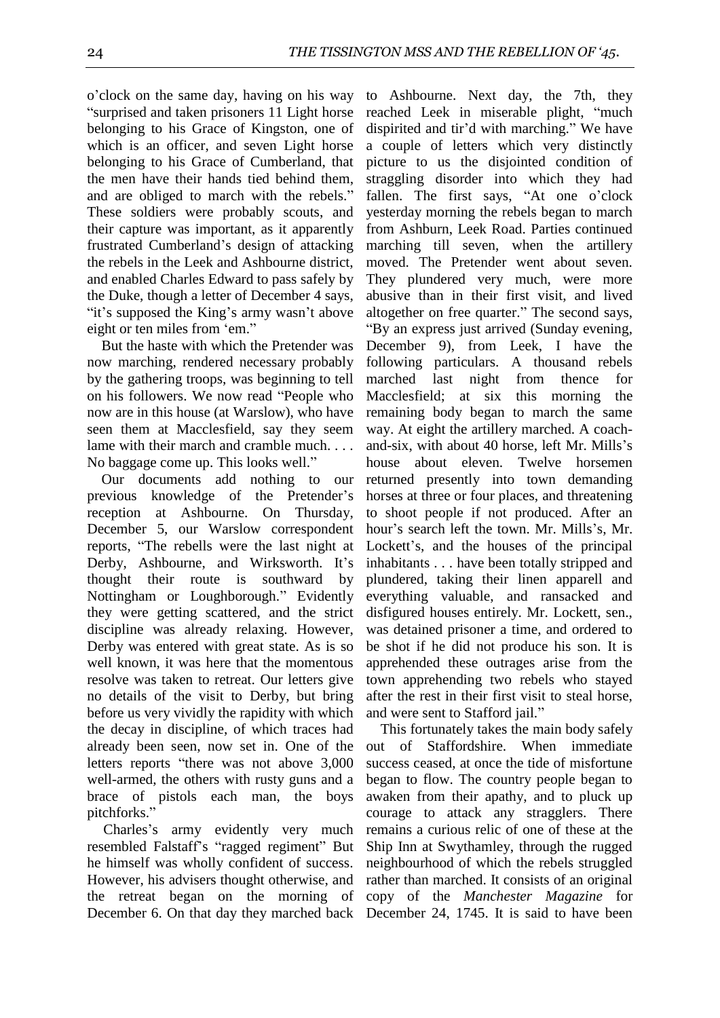o'clock on the same day, having on his way "surprised and taken prisoners 11 Light horse belonging to his Grace of Kingston, one of which is an officer, and seven Light horse belonging to his Grace of Cumberland, that the men have their hands tied behind them, and are obliged to march with the rebels." These soldiers were probably scouts, and their capture was important, as it apparently frustrated Cumberland's design of attacking the rebels in the Leek and Ashbourne district, and enabled Charles Edward to pass safely by the Duke, though a letter of December 4 says, "it's supposed the King's army wasn't above eight or ten miles from 'em."

But the haste with which the Pretender was now marching, rendered necessary probably by the gathering troops, was beginning to tell on his followers. We now read "People who now are in this house (at Warslow), who have seen them at Macclesfield, say they seem lame with their march and cramble much. . . . No baggage come up. This looks well."

Our documents add nothing to our previous knowledge of the Pretender's reception at Ashbourne. On Thursday, December 5, our Warslow correspondent reports, "The rebells were the last night at Derby, Ashbourne, and Wirksworth. It's thought their route is southward by Nottingham or Loughborough." Evidently they were getting scattered, and the strict discipline was already relaxing. However, Derby was entered with great state. As is so well known, it was here that the momentous resolve was taken to retreat. Our letters give no details of the visit to Derby, but bring before us very vividly the rapidity with which the decay in discipline, of which traces had already been seen, now set in. One of the letters reports "there was not above 3,000 well-armed, the others with rusty guns and a brace of pistols each man, the boys pitchforks."

Charles's army evidently very much resembled Falstaff's "ragged regiment" But he himself was wholly confident of success. However, his advisers thought otherwise, and the retreat began on the morning of December 6. On that day they marched back

to Ashbourne. Next day, the 7th, they reached Leek in miserable plight, "much dispirited and tir'd with marching." We have a couple of letters which very distinctly picture to us the disjointed condition of straggling disorder into which they had fallen. The first says, "At one o'clock yesterday morning the rebels began to march from Ashburn, Leek Road. Parties continued marching till seven, when the artillery moved. The Pretender went about seven. They plundered very much, were more abusive than in their first visit, and lived altogether on free quarter." The second says, "By an express just arrived (Sunday evening, December 9), from Leek, I have the following particulars. A thousand rebels marched last night from thence for Macclesfield; at six this morning the remaining body began to march the same way. At eight the artillery marched. A coachand-six, with about 40 horse, left Mr. Mills's house about eleven. Twelve horsemen returned presently into town demanding horses at three or four places, and threatening to shoot people if not produced. After an hour's search left the town. Mr. Mills's, Mr. Lockett's, and the houses of the principal inhabitants . . . have been totally stripped and plundered, taking their linen apparell and everything valuable, and ransacked and disfigured houses entirely. Mr. Lockett, sen., was detained prisoner a time, and ordered to be shot if he did not produce his son. It is apprehended these outrages arise from the town apprehending two rebels who stayed after the rest in their first visit to steal horse, and were sent to Stafford jail."

This fortunately takes the main body safely out of Staffordshire. When immediate success ceased, at once the tide of misfortune began to flow. The country people began to awaken from their apathy, and to pluck up courage to attack any stragglers. There remains a curious relic of one of these at the Ship Inn at Swythamley, through the rugged neighbourhood of which the rebels struggled rather than marched. It consists of an original copy of the *Manchester Magazine* for December 24, 1745. It is said to have been